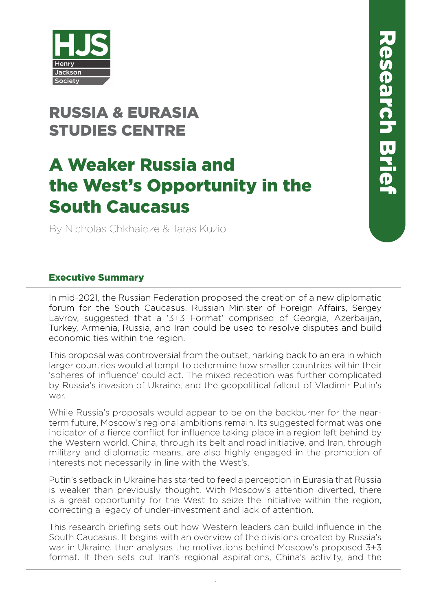

# RUSSIA & EURASIA STUDIES CENTRE

# A Weaker Russia and the West's Opportunity in the South Caucasus

By Nicholas Chkhaidze & Taras Kuzio

#### Executive Summary

In mid-2021, the Russian Federation proposed the creation of a new diplomatic forum for the South Caucasus. Russian Minister of Foreign Affairs, Sergey Lavrov, suggested that a '3+3 Format' comprised of Georgia, Azerbaijan, Turkey, Armenia, Russia, and Iran could be used to resolve disputes and build economic ties within the region.

This proposal was controversial from the outset, harking back to an era in which larger countries would attempt to determine how smaller countries within their 'spheres of influence' could act. The mixed reception was further complicated by Russia's invasion of Ukraine, and the geopolitical fallout of Vladimir Putin's war.

While Russia's proposals would appear to be on the backburner for the nearterm future, Moscow's regional ambitions remain. Its suggested format was one indicator of a fierce conflict for influence taking place in a region left behind by the Western world. China, through its belt and road initiative, and Iran, through military and diplomatic means, are also highly engaged in the promotion of interests not necessarily in line with the West's.

Putin's setback in Ukraine has started to feed a perception in Eurasia that Russia is weaker than previously thought. With Moscow's attention diverted, there is a great opportunity for the West to seize the initiative within the region, correcting a legacy of under-investment and lack of attention.

This research briefing sets out how Western leaders can build influence in the South Caucasus. It begins with an overview of the divisions created by Russia's war in Ukraine, then analyses the motivations behind Moscow's proposed 3+3 format. It then sets out Iran's regional aspirations, China's activity, and the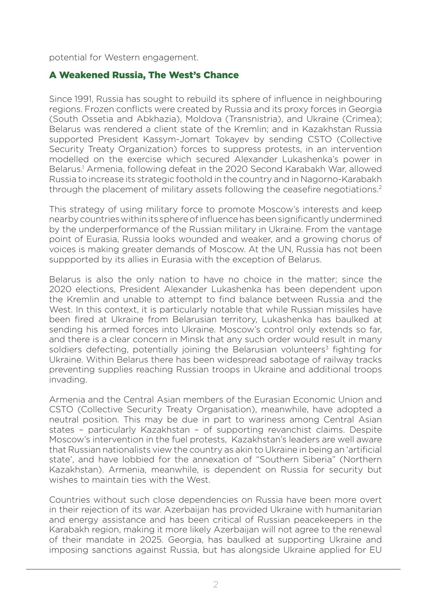potential for Western engagement.

#### A Weakened Russia, The West's Chance

Since 1991, Russia has sought to rebuild its sphere of influence in neighbouring regions. Frozen conflicts were created by Russia and its proxy forces in Georgia (South Ossetia and Abkhazia), Moldova (Transnistria), and Ukraine (Crimea); Belarus was rendered a client state of the Kremlin; and in Kazakhstan Russia supported President Kassym-Jomart Tokayev by sending CSTO (Collective Security Treaty Organization) forces to suppress protests, in an intervention modelled on the exercise which secured Alexander Lukashenka's power in Belarus.<sup>1</sup> Armenia, following defeat in the 2020 Second Karabakh War, allowed Russia to increase its strategic foothold in the country and in Nagorno-Karabakh through the placement of military assets following the ceasefire negotiations.<sup>2</sup>

This strategy of using military force to promote Moscow's interests and keep nearby countries within its sphere of influence has been significantly undermined by the underperformance of the Russian military in Ukraine. From the vantage point of Eurasia, Russia looks wounded and weaker, and a growing chorus of voices is making greater demands of Moscow. At the UN, Russia has not been suppported by its allies in Eurasia with the exception of Belarus.

Belarus is also the only nation to have no choice in the matter; since the 2020 elections, President Alexander Lukashenka has been dependent upon the Kremlin and unable to attempt to find balance between Russia and the West. In this context, it is particularly notable that while Russian missiles have been fired at Ukraine from Belarusian territory, Lukashenka has baulked at sending his armed forces into Ukraine. Moscow's control only extends so far, and there is a clear concern in Minsk that any such order would result in many soldiers defecting, potentially joining the Belarusian volunteers<sup>3</sup> fighting for Ukraine. Within Belarus there has been widespread sabotage of railway tracks preventing supplies reaching Russian troops in Ukraine and additional troops invading.

Armenia and the Central Asian members of the Eurasian Economic Union and CSTO (Collective Security Treaty Organisation), meanwhile, have adopted a neutral position. This may be due in part to wariness among Central Asian states – particularly Kazakhstan – of supporting revanchist claims. Despite Moscow's intervention in the fuel protests, Kazakhstan's leaders are well aware that Russian nationalists view the country as akin to Ukraine in being an 'artificial state', and have lobbied for the annexation of "Southern Siberia" (Northern Kazakhstan). Armenia, meanwhile, is dependent on Russia for security but wishes to maintain ties with the West.

Countries without such close dependencies on Russia have been more overt in their rejection of its war. Azerbaijan has provided Ukraine with humanitarian and energy assistance and has been critical of Russian peacekeepers in the Karabakh region, making it more likely Azerbaijan will not agree to the renewal of their mandate in 2025. Georgia, has baulked at supporting Ukraine and imposing sanctions against Russia, but has alongside Ukraine applied for EU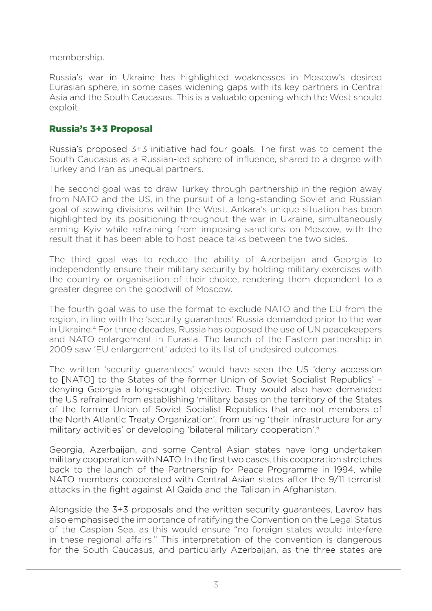membership.

Russia's war in Ukraine has highlighted weaknesses in Moscow's desired Eurasian sphere, in some cases widening gaps with its key partners in Central Asia and the South Caucasus. This is a valuable opening which the West should exploit.

#### Russia's 3+3 Proposal

Russia's proposed 3+3 initiative had four goals. The first was to cement the South Caucasus as a Russian-led sphere of influence, shared to a degree with Turkey and Iran as unequal partners.

The second goal was to draw Turkey through partnership in the region away from NATO and the US, in the pursuit of a long-standing Soviet and Russian goal of sowing divisions within the West. Ankara's unique situation has been highlighted by its positioning throughout the war in Ukraine, simultaneously arming Kyiv while refraining from imposing sanctions on Moscow, with the result that it has been able to host peace talks between the two sides.

The third goal was to reduce the ability of Azerbaijan and Georgia to independently ensure their military security by holding military exercises with the country or organisation of their choice, rendering them dependent to a greater degree on the goodwill of Moscow.

The fourth goal was to use the format to exclude NATO and the EU from the region, in line with the 'security guarantees' Russia demanded prior to the war in Ukraine.<sup>4</sup> For three decades, Russia has opposed the use of UN peacekeepers and NATO enlargement in Eurasia. The launch of the Eastern partnership in 2009 saw 'EU enlargement' added to its list of undesired outcomes.

The written 'security guarantees' would have seen the US 'deny accession to [NATO] to the States of the former Union of Soviet Socialist Republics' – denying Georgia a long-sought objective. They would also have demanded the US refrained from establishing 'military bases on the territory of the States of the former Union of Soviet Socialist Republics that are not members of the North Atlantic Treaty Organization', from using 'their infrastructure for any military activities' or developing 'bilateral military cooperation'.5

Georgia, Azerbaijan, and some Central Asian states have long undertaken military cooperation with NATO. In the first two cases, this cooperation stretches back to the launch of the Partnership for Peace Programme in 1994, while NATO members cooperated with Central Asian states after the 9/11 terrorist attacks in the fight against Al Qaida and the Taliban in Afghanistan.

Alongside the 3+3 proposals and the written security guarantees, Lavrov has also emphasised the importance of ratifying the Convention on the Legal Status of the Caspian Sea, as this would ensure "no foreign states would interfere in these regional affairs." This interpretation of the convention is dangerous for the South Caucasus, and particularly Azerbaijan, as the three states are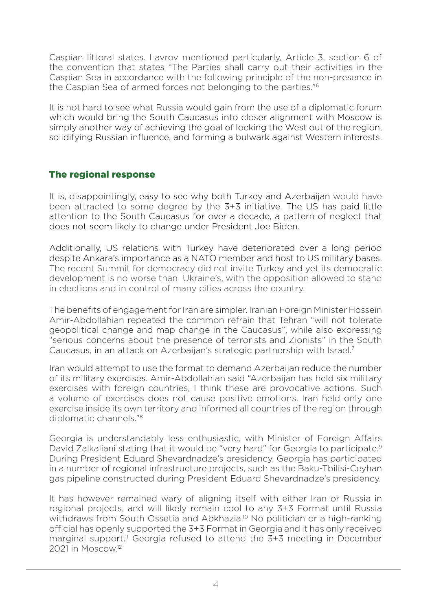Caspian littoral states. Lavrov mentioned particularly, Article 3, section 6 of the convention that states "The Parties shall carry out their activities in the Caspian Sea in accordance with the following principle of the non-presence in the Caspian Sea of armed forces not belonging to the parties."<sup>6</sup>

It is not hard to see what Russia would gain from the use of a diplomatic forum which would bring the South Caucasus into closer alignment with Moscow is simply another way of achieving the goal of locking the West out of the region, solidifying Russian influence, and forming a bulwark against Western interests.

### The regional response

It is, disappointingly, easy to see why both Turkey and Azerbaijan would have been attracted to some degree by the 3+3 initiative. The US has paid little attention to the South Caucasus for over a decade, a pattern of neglect that does not seem likely to change under President Joe Biden.

Additionally, US relations with Turkey have deteriorated over a long period despite Ankara's importance as a NATO member and host to US military bases. The recent Summit for democracy did not invite Turkey and yet its democratic development is no worse than Ukraine's, with the opposition allowed to stand in elections and in control of many cities across the country.

The benefits of engagement for Iran are simpler. Iranian Foreign Minister Hossein Amir-Abdollahian repeated the common refrain that Tehran "will not tolerate geopolitical change and map change in the Caucasus", while also expressing "serious concerns about the presence of terrorists and Zionists" in the South Caucasus, in an attack on Azerbaijan's strategic partnership with Israel.7

Iran would attempt to use the format to demand Azerbaijan reduce the number of its military exercises. Amir-Abdollahian said "Azerbaijan has held six military exercises with foreign countries, I think these are provocative actions. Such a volume of exercises does not cause positive emotions. Iran held only one exercise inside its own territory and informed all countries of the region through diplomatic channels."<sup>8</sup>

Georgia is understandably less enthusiastic, with Minister of Foreign Affairs David Zalkaliani stating that it would be "very hard" for Georgia to participate.<sup>9</sup> During President Eduard Shevardnadze's presidency, Georgia has participated in a number of regional infrastructure projects, such as the Baku-Tbilisi-Ceyhan gas pipeline constructed during President Eduard Shevardnadze's presidency.

It has however remained wary of aligning itself with either Iran or Russia in regional projects, and will likely remain cool to any 3+3 Format until Russia withdraws from South Ossetia and Abkhazia.<sup>10</sup> No politician or a high-ranking official has openly supported the 3+3 Format in Georgia and it has only received marginal support.<sup>11</sup> Georgia refused to attend the 3+3 meeting in December 2021 in Moscow.12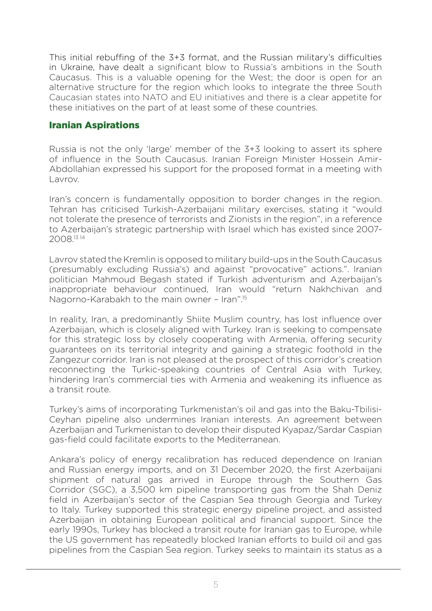This initial rebuffing of the 3+3 format, and the Russian military's difficulties in Ukraine, have dealt a significant blow to Russia's ambitions in the South Caucasus. This is a valuable opening for the West; the door is open for an alternative structure for the region which looks to integrate the three South Caucasian states into NATO and EU initiatives and there is a clear appetite for these initiatives on the part of at least some of these countries.

#### Iranian Aspirations

Russia is not the only 'large' member of the 3+3 looking to assert its sphere of influence in the South Caucasus. Iranian Foreign Minister Hossein Amir-Abdollahian expressed his support for the proposed format in a meeting with Lavrov.

Iran's concern is fundamentally opposition to border changes in the region. Tehran has criticised Turkish-Azerbaijani military exercises, stating it "would not tolerate the presence of terrorists and Zionists in the region", in a reference to Azerbaijan's strategic partnership with Israel which has existed since 2007- 2008.13 <sup>14</sup>

Lavrov stated the Kremlin is opposed to military build-ups in the South Caucasus (presumably excluding Russia's) and against "provocative" actions.". Iranian politician Mahmoud Begash stated if Turkish adventurism and Azerbaijan's inappropriate behaviour continued, Iran would "return Nakhchivan and Nagorno-Karabakh to the main owner – Iran".<sup>15</sup>

In reality, Iran, a predominantly Shiite Muslim country, has lost influence over Azerbaijan, which is closely aligned with Turkey. Iran is seeking to compensate for this strategic loss by closely cooperating with Armenia, offering security guarantees on its territorial integrity and gaining a strategic foothold in the Zangezur corridor. Iran is not pleased at the prospect of this corridor's creation reconnecting the Turkic-speaking countries of Central Asia with Turkey, hindering Iran's commercial ties with Armenia and weakening its influence as a transit route.

Turkey's aims of incorporating Turkmenistan's oil and gas into the Baku-Tbilisi-Ceyhan pipeline also undermines Iranian interests. An agreement between Azerbaijan and Turkmenistan to develop their disputed Kyapaz/Sardar Caspian gas-field could facilitate exports to the Mediterranean.

Ankara's policy of energy recalibration has reduced dependence on Iranian and Russian energy imports, and on 31 December 2020, the first Azerbaijani shipment of natural gas arrived in Europe through the Southern Gas Corridor (SGC), a 3,500 km pipeline transporting gas from the Shah Deniz field in Azerbaijan's sector of the Caspian Sea through Georgia and Turkey to Italy. Turkey supported this strategic energy pipeline project, and assisted Azerbaijan in obtaining European political and financial support. Since the early 1990s, Turkey has blocked a transit route for Iranian gas to Europe, while the US government has repeatedly blocked Iranian efforts to build oil and gas pipelines from the Caspian Sea region. Turkey seeks to maintain its status as a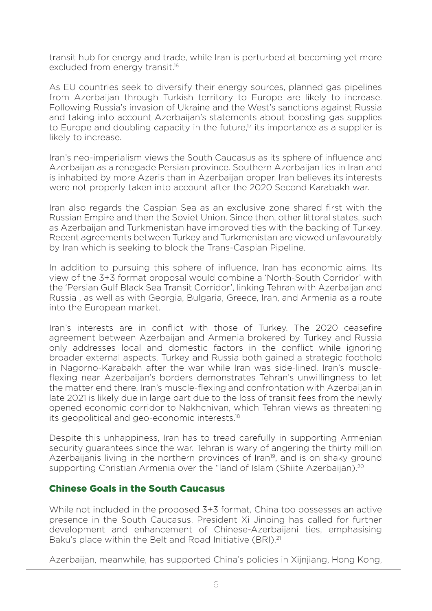transit hub for energy and trade, while Iran is perturbed at becoming yet more excluded from energy transit.<sup>16</sup>

As EU countries seek to diversify their energy sources, planned gas pipelines from Azerbaijan through Turkish territory to Europe are likely to increase. Following Russia's invasion of Ukraine and the West's sanctions against Russia and taking into account Azerbaijan's statements about boosting gas supplies to Europe and doubling capacity in the future.<sup>17</sup> its importance as a supplier is likely to increase.

Iran's neo-imperialism views the South Caucasus as its sphere of influence and Azerbaijan as a renegade Persian province. Southern Azerbaijan lies in Iran and is inhabited by more Azeris than in Azerbaijan proper. Iran believes its interests were not properly taken into account after the 2020 Second Karabakh war.

Iran also regards the Caspian Sea as an exclusive zone shared first with the Russian Empire and then the Soviet Union. Since then, other littoral states, such as Azerbaijan and Turkmenistan have improved ties with the backing of Turkey. Recent agreements between Turkey and Turkmenistan are viewed unfavourably by Iran which is seeking to block the Trans-Caspian Pipeline.

In addition to pursuing this sphere of influence, Iran has economic aims. Its view of the 3+3 format proposal would combine a 'North-South Corridor' with the 'Persian Gulf Black Sea Transit Corridor', linking Tehran with Azerbaijan and Russia , as well as with Georgia, Bulgaria, Greece, Iran, and Armenia as a route into the European market.

Iran's interests are in conflict with those of Turkey. The 2020 ceasefire agreement between Azerbaijan and Armenia brokered by Turkey and Russia only addresses local and domestic factors in the conflict while ignoring broader external aspects. Turkey and Russia both gained a strategic foothold in Nagorno-Karabakh after the war while Iran was side-lined. Iran's muscleflexing near Azerbaijan's borders demonstrates Tehran's unwillingness to let the matter end there. Iran's muscle-flexing and confrontation with Azerbaijan in late 2021 is likely due in large part due to the loss of transit fees from the newly opened economic corridor to Nakhchivan, which Tehran views as threatening its geopolitical and geo-economic interests.18

Despite this unhappiness, Iran has to tread carefully in supporting Armenian security guarantees since the war. Tehran is wary of angering the thirty million Azerbaijanis living in the northern provinces of Iran<sup>19</sup>, and is on shaky ground supporting Christian Armenia over the "land of Islam (Shiite Azerbaijan).<sup>20</sup>

#### Chinese Goals in the South Caucasus

While not included in the proposed 3+3 format, China too possesses an active presence in the South Caucasus. President Xi Jinping has called for further development and enhancement of Chinese-Azerbaijani ties, emphasising Baku's place within the Belt and Road Initiative (BRI).<sup>21</sup>

Azerbaijan, meanwhile, has supported China's policies in Xijnjiang, Hong Kong,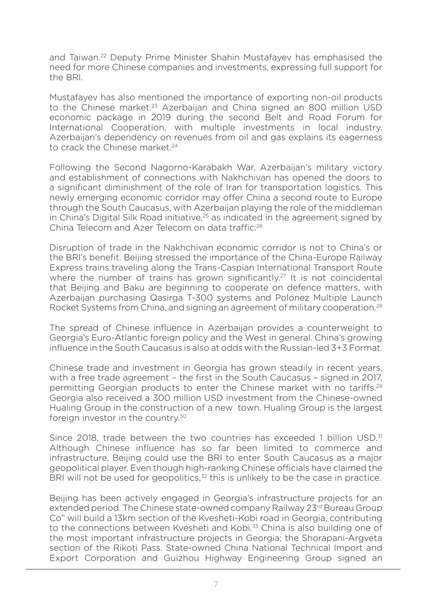and Taiwan.22 Deputy Prime Minister Shahin Mustafayev has emphasised the need for more Chinese companies and investments, expressing full support for the BRI.

Mustafayev has also mentioned the importance of exporting non-oil products to the Chinese market.<sup>23</sup> Azerbaijan and China signed an 800 million USD economic package in 2019 during the second Belt and Road Forum for International Cooperation, with multiple investments in local industry. Azerbaijan's dependency on revenues from oil and gas explains its eagerness to crack the Chinese market.<sup>24</sup>

Following the Second Nagorno-Karabakh War, Azerbaijan's military victory and establishment of connections with Nakhchivan has opened the doors to a significant diminishment of the role of Iran for transportation logistics. This newly emerging economic corridor may offer China a second route to Europe through the South Caucasus, with Azerbaijan playing the role of the middleman in China's Digital Silk Road initiative,<sup>25</sup> as indicated in the agreement signed by China Telecom and Azer Telecom on data traffic.<sup>26</sup>

Disruption of trade in the Nakhchivan economic corridor is not to China's or the BRI's benefit. Beijing stressed the importance of the China-Europe Railway Express trains traveling along the Trans-Caspian International Transport Route where the number of trains has grown significantly.<sup>27</sup> It is not coincidental that Beijing and Baku are beginning to cooperate on defence matters, with Azerbaijan purchasing Qasirga T-300 systems and Polonez Multiple Launch Rocket Systems from China, and signing an agreement of military cooperation.28

The spread of Chinese influence in Azerbaijan provides a counterweight to Georgia's Euro-Atlantic foreign policy and the West in general. China's growing influence in the South Caucasus is also at odds with the Russian-led 3+3 Format.

Chinese trade and investment in Georgia has grown steadily in recent years, with a free trade agreement – the first in the South Caucasus – signed in 2017, permitting Georgian products to enter the Chinese market with no tariffs.29 Georgia also received a 300 million USD investment from the Chinese-owned Hualing Group in the construction of a new town. Hualing Group is the largest foreign investor in the country.<sup>30</sup>

Since 2018, trade between the two countries has exceeded 1 billion  $\text{USD}^3$ Although Chinese influence has so far been limited to commerce and infrastructure, Beijing could use the BRI to enter South Caucasus as a major geopolitical player. Even though high-ranking Chinese officials have claimed the BRI will not be used for geopolitics, $32$  this is unlikely to be the case in practice.

Beijing has been actively engaged in Georgia's infrastructure projects for an extended period. The Chinese state-owned company Railway 23rd Bureau Group Co" will build a 13km section of the Kvesheti-Kobi road in Georgia, contributing to the connections between Kvesheti and Kobi.<sup>33</sup> China is also building one of the most important infrastructure projects in Georgia; the Shorapani-Argveta section of the Rikoti Pass. State-owned China National Technical Import and Export Corporation and Guizhou Highway Engineering Group signed an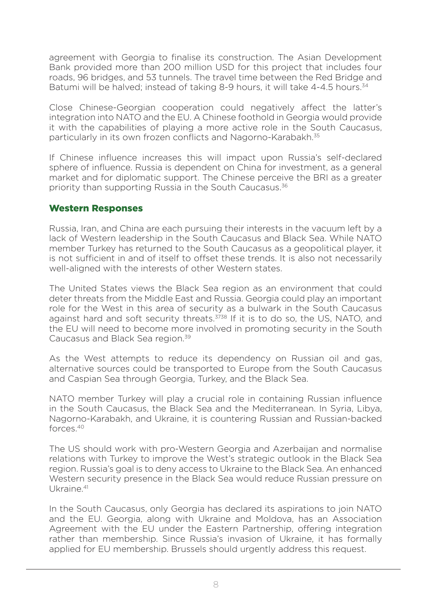agreement with Georgia to finalise its construction. The Asian Development Bank provided more than 200 million USD for this project that includes four roads, 96 bridges, and 53 tunnels. The travel time between the Red Bridge and Batumi will be halved; instead of taking 8-9 hours, it will take 4-4.5 hours.<sup>34</sup>

Close Chinese-Georgian cooperation could negatively affect the latter's integration into NATO and the EU. A Chinese foothold in Georgia would provide it with the capabilities of playing a more active role in the South Caucasus, particularly in its own frozen conflicts and Nagorno-Karabakh.<sup>35</sup>

If Chinese influence increases this will impact upon Russia's self-declared sphere of influence. Russia is dependent on China for investment, as a general market and for diplomatic support. The Chinese perceive the BRI as a greater priority than supporting Russia in the South Caucasus.36

#### Western Responses

Russia, Iran, and China are each pursuing their interests in the vacuum left by a lack of Western leadership in the South Caucasus and Black Sea. While NATO member Turkey has returned to the South Caucasus as a geopolitical player, it is not sufficient in and of itself to offset these trends. It is also not necessarily well-aligned with the interests of other Western states.

The United States views the Black Sea region as an environment that could deter threats from the Middle East and Russia. Georgia could play an important role for the West in this area of security as a bulwark in the South Caucasus against hard and soft security threats.<sup>3738</sup> If it is to do so, the US, NATO, and the EU will need to become more involved in promoting security in the South Caucasus and Black Sea region.39

As the West attempts to reduce its dependency on Russian oil and gas, alternative sources could be transported to Europe from the South Caucasus and Caspian Sea through Georgia, Turkey, and the Black Sea.

NATO member Turkey will play a crucial role in containing Russian influence in the South Caucasus, the Black Sea and the Mediterranean. In Syria, Libya, Nagorno-Karabakh, and Ukraine, it is countering Russian and Russian-backed forces.40

The US should work with pro-Western Georgia and Azerbaijan and normalise relations with Turkey to improve the West's strategic outlook in the Black Sea region. Russia's goal is to deny access to Ukraine to the Black Sea. An enhanced Western security presence in the Black Sea would reduce Russian pressure on Ukraine.<sup>41</sup>

In the South Caucasus, only Georgia has declared its aspirations to join NATO and the EU. Georgia, along with Ukraine and Moldova, has an Association Agreement with the EU under the Eastern Partnership, offering integration rather than membership. Since Russia's invasion of Ukraine, it has formally applied for EU membership. Brussels should urgently address this request.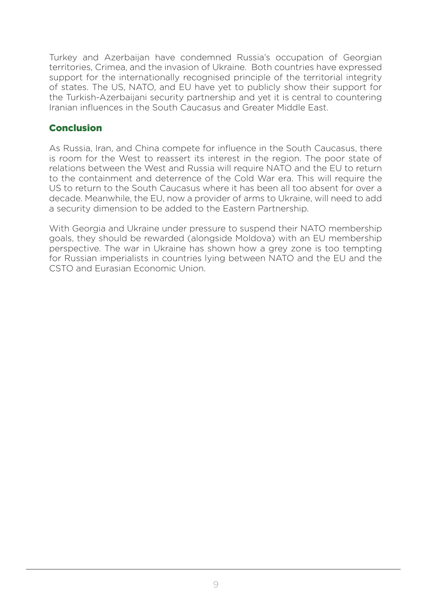Turkey and Azerbaijan have condemned Russia's occupation of Georgian territories, Crimea, and the invasion of Ukraine. Both countries have expressed support for the internationally recognised principle of the territorial integrity of states. The US, NATO, and EU have yet to publicly show their support for the Turkish-Azerbaijani security partnership and yet it is central to countering Iranian influences in the South Caucasus and Greater Middle East.

#### **Conclusion**

As Russia, Iran, and China compete for influence in the South Caucasus, there is room for the West to reassert its interest in the region. The poor state of relations between the West and Russia will require NATO and the EU to return to the containment and deterrence of the Cold War era. This will require the US to return to the South Caucasus where it has been all too absent for over a decade. Meanwhile, the EU, now a provider of arms to Ukraine, will need to add a security dimension to be added to the Eastern Partnership.

With Georgia and Ukraine under pressure to suspend their NATO membership goals, they should be rewarded (alongside Moldova) with an EU membership perspective. The war in Ukraine has shown how a grey zone is too tempting for Russian imperialists in countries lying between NATO and the EU and the CSTO and Eurasian Economic Union.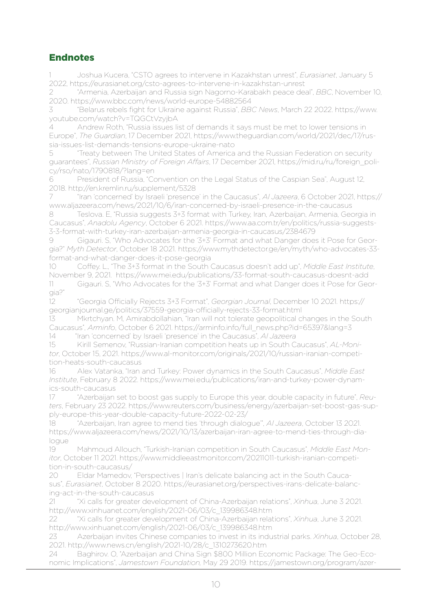## Endnotes

1 Joshua Kucera, "CSTO agrees to intervene in Kazakhstan unrest", *Eurasianet*, January 5 2022, https://eurasianet.org/csto-agrees-to-intervene-in-kazakhstan-unrest

2 "Armenia, Azerbaijan and Russia sign Nagorno-Karabakh peace deal", *BBC*, November 10, 2020. https://www.bbc.com/news/world-europe-54882564

3 "Belarus rebels fight for Ukraine against Russia", *BBC News*, March 22 2022. https://www. youtube.com/watch?v=TQGCtVzyjbA

4 Andrew Roth, "Russia issues list of demands it says must be met to lower tensions in Europe", *The Guardian*, 17 December 2021, https://www.theguardian.com/world/2021/dec/17/russia-issues-list-demands-tensions-europe-ukraine-nato

"Treaty between The United States of America and the Russian Federation on security guarantees", *Russian Ministry of Foreign Affairs*, 17 December 2021, https://mid.ru/ru/foreign\_policy/rso/nato/1790818/?lang=en

6 President of Russia, "Convention on the Legal Status of the Caspian Sea", August 12, 2018. http://en.kremlin.ru/supplement/5328

7 "Iran 'concerned' by Israeli 'presence' in the Caucasus", *Al Jazeera*, 6 October 2021, https:// www.aljazeera.com/news/2021/10/6/iran-concerned-by-israeli-presence-in-the-caucasus

8 Teslova. E, "Russia suggests 3+3 format with Turkey, Iran, Azerbaijan, Armenia, Georgia in Caucasus", *Anadolu Agency*, October 6 2021. https://www.aa.com.tr/en/politics/russia-suggests-3-3-format-with-turkey-iran-azerbaijan-armenia-georgia-in-caucasus/2384679

Gigauri. S, "Who Advocates for the '3+3' Format and what Danger does it Pose for Georgia?" *Myth Detector*, October 18 2021. https://www.mythdetector.ge/en/myth/who-advocates-33 format-and-what-danger-does-it-pose-georgia

10 Coffey. L., "The 3+3 format in the South Caucasus doesn't add up", *Middle East Institute*, November 9, 2021. https://www.mei.edu/publications/33-format-south-caucasus-doesnt-add

11 Gigauri. S, "Who Advocates for the '3+3' Format and what Danger does it Pose for Georgia?"

12 "Georgia Officially Rejects 3+3 Format", *Georgian Journal*, December 10 2021. https:// georgianjournal.ge/politics/37559-georgia-officially-rejects-33-format.html

13 Mkrtchyan. M, Amirabdollahian, "Iran will not tolerate geopolitical changes in the South Caucasus", *Arminfo*, October 6 2021. https://arminfo.info/full\_news.php?id=65397&lang=3

14 "Iran 'concerned' by Israeli 'presence' in the Caucasus", *Al Jazeera*

15 Kirill Semenov, "Russian-Iranian competition heats up in South Caucasus", *AL-Monitor*, October 15, 2021. https://www.al-monitor.com/originals/2021/10/russian-iranian-competition-heats-south-caucasus

16 Alex Vatanka, "Iran and Turkey: Power dynamics in the South Caucasus", *Middle East Institute*, February 8 2022. https://www.mei.edu/publications/iran-and-turkey-power-dynamics-south-caucasus

17 "Azerbaijan set to boost gas supply to Europe this year, double capacity in future", *Reuters*, February 23 2022. https://www.reuters.com/business/energy/azerbaijan-set-boost-gas-supply-europe-this-year-double-capacity-future-2022-02-23/

18 "Azerbaijan, Iran agree to mend ties 'through dialogue'", *Al Jazeera*, October 13 2021. https://www.aljazeera.com/news/2021/10/13/azerbaijan-iran-agree-to-mend-ties-through-dialogue

19 Mahmoud Allouch, "Turkish-Iranian competition in South Caucasus", *Middle East Monitor*, October 11 2021. https://www.middleeastmonitor.com/20211011-turkish-iranian-competition-in-south-caucasus/

20 Eldar Mamedov, "Perspectives | Iran's delicate balancing act in the South Caucasus", *Eurasianet*, October 8 2020. https://eurasianet.org/perspectives-irans-delicate-balancing-act-in-the-south-caucasus

21 "Xi calls for greater development of China-Azerbaijan relations", *Xinhua*, June 3 2021. http://www.xinhuanet.com/english/2021-06/03/c\_139986348.htm

22 "Xi calls for greater development of China-Azerbaijan relations", *Xinhua*, June 3 2021. http://www.xinhuanet.com/english/2021-06/03/c\_139986348.htm

23 Azerbaijan invites Chinese companies to invest in its industrial parks. *Xinhua*, October 28, 2021. http://www.news.cn/english/2021-10/28/c\_1310273620.htm

24 Baghirov. O, "Azerbaijan and China Sign \$800 Million Economic Package: The Geo-Economic Implications", *Jamestown Foundation,* May 29 2019. https://jamestown.org/program/azer